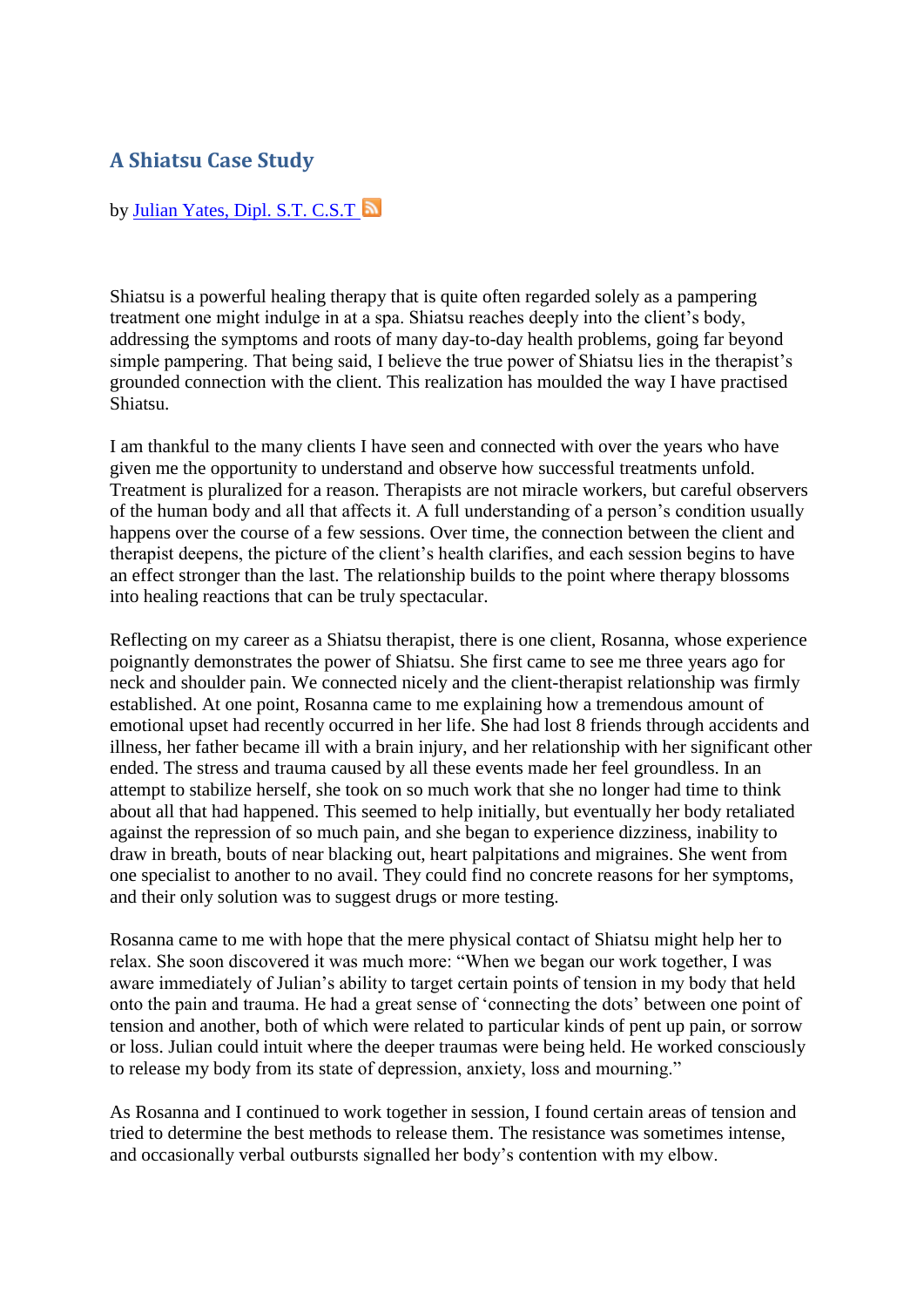## **A Shiatsu Case Study**

## by [Julian Yates, Dipl. S.T. C.S.T](http://vitalitymagazine.com/author/julian-yates-dipl.-s.t.-c.s.t/)

Shiatsu is a powerful healing therapy that is quite often regarded solely as a pampering treatment one might indulge in at a spa. Shiatsu reaches deeply into the client's body, addressing the symptoms and roots of many day-to-day health problems, going far beyond simple pampering. That being said, I believe the true power of Shiatsu lies in the therapist's grounded connection with the client. This realization has moulded the way I have practised Shiatsu.

I am thankful to the many clients I have seen and connected with over the years who have given me the opportunity to understand and observe how successful treatments unfold. Treatment is pluralized for a reason. Therapists are not miracle workers, but careful observers of the human body and all that affects it. A full understanding of a person's condition usually happens over the course of a few sessions. Over time, the connection between the client and therapist deepens, the picture of the client's health clarifies, and each session begins to have an effect stronger than the last. The relationship builds to the point where therapy blossoms into healing reactions that can be truly spectacular.

Reflecting on my career as a Shiatsu therapist, there is one client, Rosanna, whose experience poignantly demonstrates the power of Shiatsu. She first came to see me three years ago for neck and shoulder pain. We connected nicely and the client-therapist relationship was firmly established. At one point, Rosanna came to me explaining how a tremendous amount of emotional upset had recently occurred in her life. She had lost 8 friends through accidents and illness, her father became ill with a brain injury, and her relationship with her significant other ended. The stress and trauma caused by all these events made her feel groundless. In an attempt to stabilize herself, she took on so much work that she no longer had time to think about all that had happened. This seemed to help initially, but eventually her body retaliated against the repression of so much pain, and she began to experience dizziness, inability to draw in breath, bouts of near blacking out, heart palpitations and migraines. She went from one specialist to another to no avail. They could find no concrete reasons for her symptoms, and their only solution was to suggest drugs or more testing.

Rosanna came to me with hope that the mere physical contact of Shiatsu might help her to relax. She soon discovered it was much more: "When we began our work together, I was aware immediately of Julian's ability to target certain points of tension in my body that held onto the pain and trauma. He had a great sense of 'connecting the dots' between one point of tension and another, both of which were related to particular kinds of pent up pain, or sorrow or loss. Julian could intuit where the deeper traumas were being held. He worked consciously to release my body from its state of depression, anxiety, loss and mourning."

As Rosanna and I continued to work together in session, I found certain areas of tension and tried to determine the best methods to release them. The resistance was sometimes intense, and occasionally verbal outbursts signalled her body's contention with my elbow.